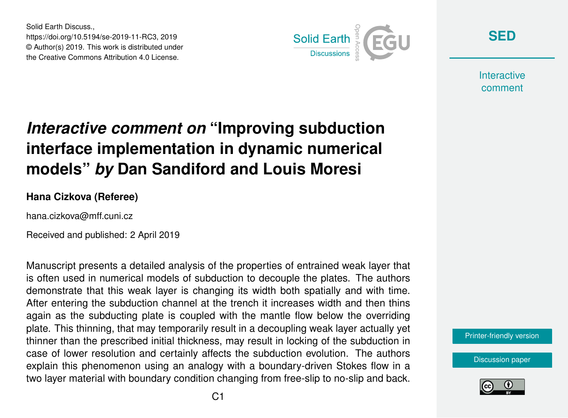Solid Earth Discuss., https://doi.org/10.5194/se-2019-11-RC3, 2019 © Author(s) 2019. This work is distributed under the Creative Commons Attribution 4.0 License.



**[SED](https://www.solid-earth-discuss.net/)**

**Interactive** comment

## *Interactive comment on* **"Improving subduction interface implementation in dynamic numerical models"** *by* **Dan Sandiford and Louis Moresi**

## **Hana Cizkova (Referee)**

hana.cizkova@mff.cuni.cz

Received and published: 2 April 2019

Manuscript presents a detailed analysis of the properties of entrained weak layer that is often used in numerical models of subduction to decouple the plates. The authors demonstrate that this weak layer is changing its width both spatially and with time. After entering the subduction channel at the trench it increases width and then thins again as the subducting plate is coupled with the mantle flow below the overriding plate. This thinning, that may temporarily result in a decoupling weak layer actually yet thinner than the prescribed initial thickness, may result in locking of the subduction in case of lower resolution and certainly affects the subduction evolution. The authors explain this phenomenon using an analogy with a boundary-driven Stokes flow in a two layer material with boundary condition changing from free-slip to no-slip and back.



[Discussion paper](https://www.solid-earth-discuss.net/se-2019-11)

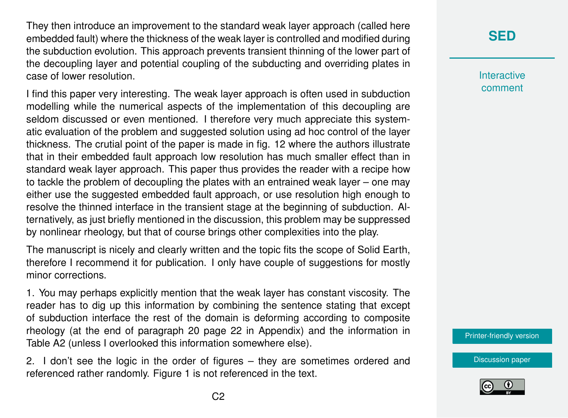They then introduce an improvement to the standard weak layer approach (called here embedded fault) where the thickness of the weak layer is controlled and modified during the subduction evolution. This approach prevents transient thinning of the lower part of the decoupling layer and potential coupling of the subducting and overriding plates in case of lower resolution.

I find this paper very interesting. The weak layer approach is often used in subduction modelling while the numerical aspects of the implementation of this decoupling are seldom discussed or even mentioned. I therefore very much appreciate this systematic evaluation of the problem and suggested solution using ad hoc control of the layer thickness. The crutial point of the paper is made in fig. 12 where the authors illustrate that in their embedded fault approach low resolution has much smaller effect than in standard weak layer approach. This paper thus provides the reader with a recipe how to tackle the problem of decoupling the plates with an entrained weak layer – one may either use the suggested embedded fault approach, or use resolution high enough to resolve the thinned interface in the transient stage at the beginning of subduction. Alternatively, as just briefly mentioned in the discussion, this problem may be suppressed by nonlinear rheology, but that of course brings other complexities into the play.

The manuscript is nicely and clearly written and the topic fits the scope of Solid Earth, therefore I recommend it for publication. I only have couple of suggestions for mostly minor corrections.

1. You may perhaps explicitly mention that the weak layer has constant viscosity. The reader has to dig up this information by combining the sentence stating that except of subduction interface the rest of the domain is deforming according to composite rheology (at the end of paragraph 20 page 22 in Appendix) and the information in Table A2 (unless I overlooked this information somewhere else).

2. I don't see the logic in the order of figures – they are sometimes ordered and referenced rather randomly. Figure 1 is not referenced in the text.

## **[SED](https://www.solid-earth-discuss.net/)**

**Interactive** comment

[Printer-friendly version](https://www.solid-earth-discuss.net/se-2019-11/se-2019-11-RC3-print.pdf)

[Discussion paper](https://www.solid-earth-discuss.net/se-2019-11)